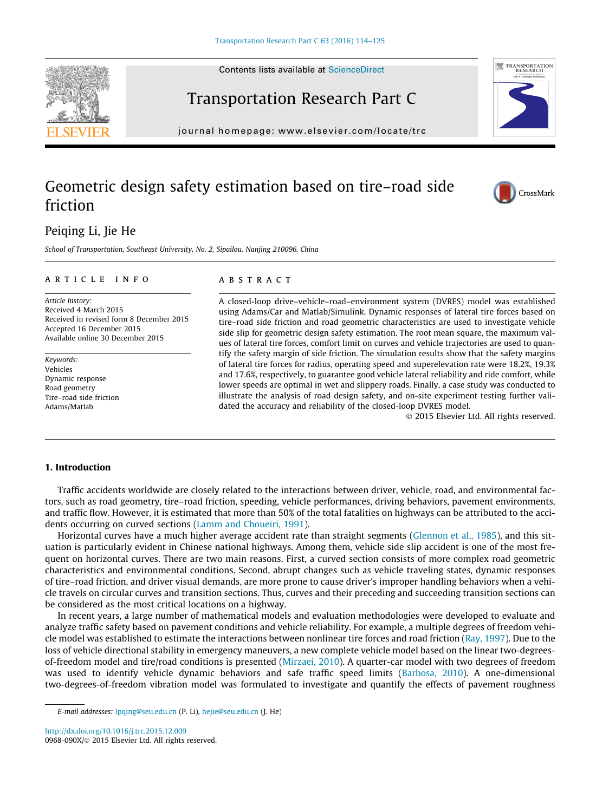



CrossMark

# Transportation Research Part C

journal homepage: [www.elsevier.com/locate/trc](http://www.elsevier.com/locate/trc)

# Geometric design safety estimation based on tire–road side friction



School of Transportation, Southeast University, No. 2, Sipailou, Nanjing 210096, China

#### article info

Article history: Received 4 March 2015 Received in revised form 8 December 2015 Accepted 16 December 2015 Available online 30 December 2015

Keywords: Vehicles Dynamic response Road geometry Tire–road side friction Adams/Matlab

## **ABSTRACT**

A closed-loop drive–vehicle–road–environment system (DVRES) model was established using Adams/Car and Matlab/Simulink. Dynamic responses of lateral tire forces based on tire–road side friction and road geometric characteristics are used to investigate vehicle side slip for geometric design safety estimation. The root mean square, the maximum values of lateral tire forces, comfort limit on curves and vehicle trajectories are used to quantify the safety margin of side friction. The simulation results show that the safety margins of lateral tire forces for radius, operating speed and superelevation rate were 18.2%, 19.3% and 17.6%, respectively, to guarantee good vehicle lateral reliability and ride comfort, while lower speeds are optimal in wet and slippery roads. Finally, a case study was conducted to illustrate the analysis of road design safety, and on-site experiment testing further validated the accuracy and reliability of the closed-loop DVRES model.

2015 Elsevier Ltd. All rights reserved.

## 1. Introduction

Traffic accidents worldwide are closely related to the interactions between driver, vehicle, road, and environmental factors, such as road geometry, tire–road friction, speeding, vehicle performances, driving behaviors, pavement environments, and traffic flow. However, it is estimated that more than 50% of the total fatalities on highways can be attributed to the accidents occurring on curved sections (Lamm and Choueiri, 1991).

Horizontal curves have a much higher average accident rate than straight segments (Glennon et al., 1985), and this situation is particularly evident in Chinese national highways. Among them, vehicle side slip accident is one of the most frequent on horizontal curves. There are two main reasons. First, a curved section consists of more complex road geometric characteristics and environmental conditions. Second, abrupt changes such as vehicle traveling states, dynamic responses of tire–road friction, and driver visual demands, are more prone to cause driver's improper handling behaviors when a vehicle travels on circular curves and transition sections. Thus, curves and their preceding and succeeding transition sections can be considered as the most critical locations on a highway.

In recent years, a large number of mathematical models and evaluation methodologies were developed to evaluate and analyze traffic safety based on pavement conditions and vehicle reliability. For example, a multiple degrees of freedom vehicle model was established to estimate the interactions between nonlinear tire forces and road friction (Ray, 1997). Due to the loss of vehicle directional stability in emergency maneuvers, a new complete vehicle model based on the linear two-degreesof-freedom model and tire/road conditions is presented (Mirzaei, 2010). A quarter-car model with two degrees of freedom was used to identify vehicle dynamic behaviors and safe traffic speed limits (Barbosa, 2010). A one-dimensional two-degrees-of-freedom vibration model was formulated to investigate and quantify the effects of pavement roughness

<http://dx.doi.org/10.1016/j.trc.2015.12.009> 0968-090X/© 2015 Elsevier Ltd. All rights reserved.

E-mail addresses: [lpqing@seu.edu.cn](mailto:lpqing@seu.edu.cn) (P. Li), [hejie@seu.edu.cn](mailto:hejie@seu.edu.cn) (J. He)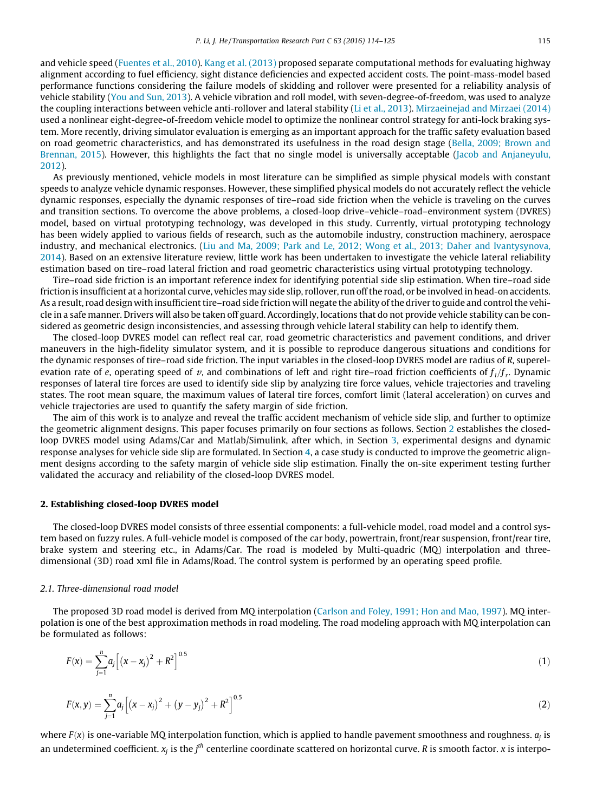and vehicle speed (Fuentes et al., 2010). Kang et al. (2013) proposed separate computational methods for evaluating highway alignment according to fuel efficiency, sight distance deficiencies and expected accident costs. The point-mass-model based performance functions considering the failure models of skidding and rollover were presented for a reliability analysis of vehicle stability (You and Sun, 2013). A vehicle vibration and roll model, with seven-degree-of-freedom, was used to analyze the coupling interactions between vehicle anti-rollover and lateral stability (Li et al., 2013). Mirzaeinejad and Mirzaei (2014) used a nonlinear eight-degree-of-freedom vehicle model to optimize the nonlinear control strategy for anti-lock braking system. More recently, driving simulator evaluation is emerging as an important approach for the traffic safety evaluation based on road geometric characteristics, and has demonstrated its usefulness in the road design stage (Bella, 2009; Brown and Brennan, 2015). However, this highlights the fact that no single model is universally acceptable (Jacob and Anjaneyulu, 2012).

As previously mentioned, vehicle models in most literature can be simplified as simple physical models with constant speeds to analyze vehicle dynamic responses. However, these simplified physical models do not accurately reflect the vehicle dynamic responses, especially the dynamic responses of tire–road side friction when the vehicle is traveling on the curves and transition sections. To overcome the above problems, a closed-loop drive–vehicle–road–environment system (DVRES) model, based on virtual prototyping technology, was developed in this study. Currently, virtual prototyping technology has been widely applied to various fields of research, such as the automobile industry, construction machinery, aerospace industry, and mechanical electronics. (Liu and Ma, 2009; Park and Le, 2012; Wong et al., 2013; Daher and Ivantysynova, 2014). Based on an extensive literature review, little work has been undertaken to investigate the vehicle lateral reliability estimation based on tire–road lateral friction and road geometric characteristics using virtual prototyping technology.

Tire–road side friction is an important reference index for identifying potential side slip estimation. When tire–road side friction is insufficient at a horizontal curve, vehicles may side slip, rollover, run off the road, or be involved in head-on accidents. As a result, road design with insufficient tire–road side friction will negate the ability of the driver to guide and control the vehicle in a safe manner. Drivers will also be taken off guard. Accordingly, locations that do not provide vehicle stability can be considered as geometric design inconsistencies, and assessing through vehicle lateral stability can help to identify them.

The closed-loop DVRES model can reflect real car, road geometric characteristics and pavement conditions, and driver maneuvers in the high-fidelity simulator system, and it is possible to reproduce dangerous situations and conditions for the dynamic responses of tire–road side friction. The input variables in the closed-loop DVRES model are radius of R, superelevation rate of e, operating speed of v, and combinations of left and right tire–road friction coefficients of  $f_1/f_r$ . Dynamic responses of lateral tire forces are used to identify side slip by analyzing tire force values, vehicle trajectories and traveling states. The root mean square, the maximum values of lateral tire forces, comfort limit (lateral acceleration) on curves and vehicle trajectories are used to quantify the safety margin of side friction.

The aim of this work is to analyze and reveal the traffic accident mechanism of vehicle side slip, and further to optimize the geometric alignment designs. This paper focuses primarily on four sections as follows. Section 2 establishes the closedloop DVRES model using Adams/Car and Matlab/Simulink, after which, in Section 3, experimental designs and dynamic response analyses for vehicle side slip are formulated. In Section 4, a case study is conducted to improve the geometric alignment designs according to the safety margin of vehicle side slip estimation. Finally the on-site experiment testing further validated the accuracy and reliability of the closed-loop DVRES model.

#### 2. Establishing closed-loop DVRES model

The closed-loop DVRES model consists of three essential components: a full-vehicle model, road model and a control system based on fuzzy rules. A full-vehicle model is composed of the car body, powertrain, front/rear suspension, front/rear tire, brake system and steering etc., in Adams/Car. The road is modeled by Multi-quadric (MQ) interpolation and threedimensional (3D) road xml file in Adams/Road. The control system is performed by an operating speed profile.

### 2.1. Three-dimensional road model

The proposed 3D road model is derived from MQ interpolation (Carlson and Foley, 1991; Hon and Mao, 1997). MQ interpolation is one of the best approximation methods in road modeling. The road modeling approach with MQ interpolation can be formulated as follows:

$$
F(x) = \sum_{j=1}^{n} a_j \left[ (x - x_j)^2 + R^2 \right]^{0.5}
$$
 (1)

$$
F(x,y) = \sum_{j=1}^{n} a_j \left[ \left( x - x_j \right)^2 + \left( y - y_j \right)^2 + R^2 \right]^{0.5}
$$
\n(2)

where  $F(x)$  is one-variable MQ interpolation function, which is applied to handle pavement smoothness and roughness.  $a_i$  is an undetermined coefficient.  $x_j$  is the  $j^{th}$  centerline coordinate scattered on horizontal curve. R is smooth factor. x is interpo-